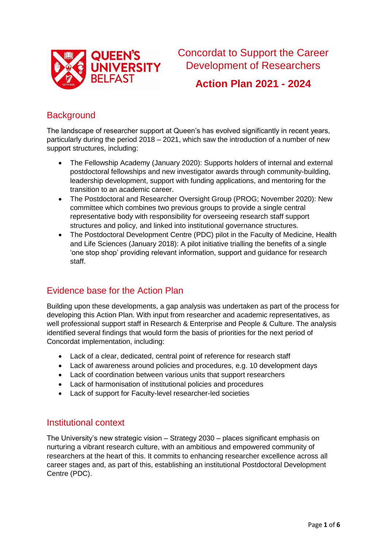

Concordat to Support the Career Development of Researchers

**Action Plan 2021 - 2024**

# **Background**

The landscape of researcher support at Queen's has evolved significantly in recent years, particularly during the period 2018 – 2021, which saw the introduction of a number of new support structures, including:

- The Fellowship Academy (January 2020): Supports holders of internal and external postdoctoral fellowships and new investigator awards through community-building, leadership development, support with funding applications, and mentoring for the transition to an academic career.
- The Postdoctoral and Researcher Oversight Group (PROG; November 2020): New committee which combines two previous groups to provide a single central representative body with responsibility for overseeing research staff support structures and policy, and linked into institutional governance structures.
- The Postdoctoral Development Centre (PDC) pilot in the Faculty of Medicine, Health and Life Sciences (January 2018): A pilot initiative trialling the benefits of a single 'one stop shop' providing relevant information, support and guidance for research staff.

## Evidence base for the Action Plan

Building upon these developments, a gap analysis was undertaken as part of the process for developing this Action Plan. With input from researcher and academic representatives, as well professional support staff in Research & Enterprise and People & Culture. The analysis identified several findings that would form the basis of priorities for the next period of Concordat implementation, including:

- Lack of a clear, dedicated, central point of reference for research staff
- Lack of awareness around policies and procedures, e.g. 10 development days
- Lack of coordination between various units that support researchers
- Lack of harmonisation of institutional policies and procedures
- Lack of support for Faculty-level researcher-led societies

### Institutional context

The University's new strategic vision – Strategy 2030 – places significant emphasis on nurturing a vibrant research culture, with an ambitious and empowered community of researchers at the heart of this. It commits to enhancing researcher excellence across all career stages and, as part of this, establishing an institutional Postdoctoral Development Centre (PDC).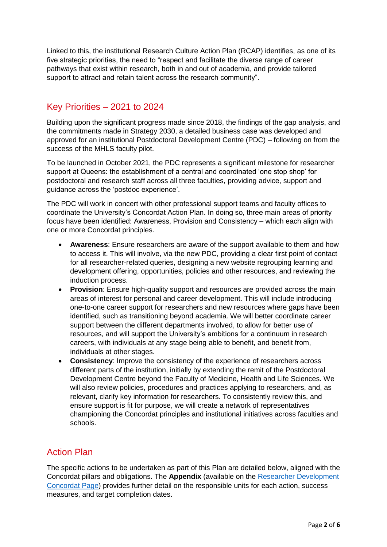Linked to this, the institutional Research Culture Action Plan (RCAP) identifies, as one of its five strategic priorities, the need to "respect and facilitate the diverse range of career pathways that exist within research, both in and out of academia, and provide tailored support to attract and retain talent across the research community".

#### Key Priorities – 2021 to 2024

Building upon the significant progress made since 2018, the findings of the gap analysis, and the commitments made in Strategy 2030, a detailed business case was developed and approved for an institutional Postdoctoral Development Centre (PDC) – following on from the success of the MHLS faculty pilot.

To be launched in October 2021, the PDC represents a significant milestone for researcher support at Queens: the establishment of a central and coordinated 'one stop shop' for postdoctoral and research staff across all three faculties, providing advice, support and guidance across the 'postdoc experience'.

The PDC will work in concert with other professional support teams and faculty offices to coordinate the University's Concordat Action Plan. In doing so, three main areas of priority focus have been identified: Awareness, Provision and Consistency – which each align with one or more Concordat principles.

- **Awareness**: Ensure researchers are aware of the support available to them and how to access it. This will involve, via the new PDC, providing a clear first point of contact for all researcher-related queries, designing a new website regrouping learning and development offering, opportunities, policies and other resources, and reviewing the induction process.
- **Provision:** Ensure high-quality support and resources are provided across the main areas of interest for personal and career development. This will include introducing one-to-one career support for researchers and new resources where gaps have been identified, such as transitioning beyond academia. We will better coordinate career support between the different departments involved, to allow for better use of resources, and will support the University's ambitions for a continuum in research careers, with individuals at any stage being able to benefit, and benefit from, individuals at other stages.
- **Consistency**: Improve the consistency of the experience of researchers across different parts of the institution, initially by extending the remit of the Postdoctoral Development Centre beyond the Faculty of Medicine, Health and Life Sciences. We will also review policies, procedures and practices applying to researchers, and, as relevant, clarify key information for researchers. To consistently review this, and ensure support is fit for purpose, we will create a network of representatives championing the Concordat principles and institutional initiatives across faculties and schools.

### Action Plan

The specific actions to be undertaken as part of this Plan are detailed below, aligned with the Concordat pillars and obligations. The **Appendix** (available on the [Researcher Development](https://www.qub.ac.uk/sites/pdc/Policyguidance/ResearcherDevelopmentConcordat/)  [Concordat Page\)](https://www.qub.ac.uk/sites/pdc/Policyguidance/ResearcherDevelopmentConcordat/) provides further detail on the responsible units for each action, success measures, and target completion dates.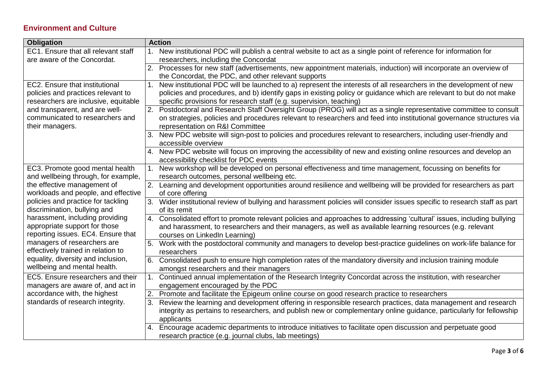#### **Environment and Culture**

| <b>Obligation</b>                                                  |    | <b>Action</b>                                                                                                             |
|--------------------------------------------------------------------|----|---------------------------------------------------------------------------------------------------------------------------|
| EC1. Ensure that all relevant staff                                |    | 1. New institutional PDC will publish a central website to act as a single point of reference for information for         |
| are aware of the Concordat.                                        |    | researchers, including the Concordat                                                                                      |
|                                                                    |    | 2. Processes for new staff (advertisements, new appointment materials, induction) will incorporate an overview of         |
|                                                                    |    | the Concordat, the PDC, and other relevant supports                                                                       |
| EC2. Ensure that institutional                                     | 1. | New institutional PDC will be launched to a) represent the interests of all researchers in the development of new         |
| policies and practices relevant to                                 |    | policies and procedures, and b) identify gaps in existing policy or guidance which are relevant to but do not make        |
| researchers are inclusive, equitable                               |    | specific provisions for research staff (e.g. supervision, teaching)                                                       |
| and transparent, and are well-                                     |    | 2. Postdoctoral and Research Staff Oversight Group (PROG) will act as a single representative committee to consult        |
| communicated to researchers and                                    |    | on strategies, policies and procedures relevant to researchers and feed into institutional governance structures via      |
| their managers.                                                    |    | representation on R&I Committee                                                                                           |
|                                                                    |    | 3. New PDC website will sign-post to policies and procedures relevant to researchers, including user-friendly and         |
|                                                                    |    | accessible overview                                                                                                       |
|                                                                    |    | 4. New PDC website will focus on improving the accessibility of new and existing online resources and develop an          |
|                                                                    |    | accessibility checklist for PDC events                                                                                    |
| EC3. Promote good mental health                                    |    | 1. New workshop will be developed on personal effectiveness and time management, focussing on benefits for                |
| and wellbeing through, for example,                                |    | research outcomes, personal wellbeing etc.                                                                                |
| the effective management of                                        |    | 2. Learning and development opportunities around resilience and wellbeing will be provided for researchers as part        |
| workloads and people, and effective                                |    | of core offering                                                                                                          |
| policies and practice for tackling                                 |    | 3. Wider institutional review of bullying and harassment policies will consider issues specific to research staff as part |
| discrimination, bullying and                                       |    | of its remit                                                                                                              |
| harassment, including providing                                    |    | 4. Consolidated effort to promote relevant policies and approaches to addressing 'cultural' issues, including bullying    |
| appropriate support for those                                      |    | and harassment, to researchers and their managers, as well as available learning resources (e.g. relevant                 |
| reporting issues. EC4. Ensure that                                 |    | courses on LinkedIn Learning)                                                                                             |
| managers of researchers are                                        |    | 5. Work with the postdoctoral community and managers to develop best-practice guidelines on work-life balance for         |
| effectively trained in relation to                                 |    | researchers                                                                                                               |
| equality, diversity and inclusion,<br>wellbeing and mental health. |    | 6. Consolidated push to ensure high completion rates of the mandatory diversity and inclusion training module             |
|                                                                    |    | amongst researchers and their managers                                                                                    |
| EC5. Ensure researchers and their                                  | 1. | Continued annual implementation of the Research Integrity Concordat across the institution, with researcher               |
| managers are aware of, and act in                                  |    | engagement encouraged by the PDC                                                                                          |
| accordance with, the highest                                       |    | Promote and facilitate the Epigeum online course on good research practice to researchers                                 |
| standards of research integrity.                                   | 3. | Review the learning and development offering in responsible research practices, data management and research              |
|                                                                    |    | integrity as pertains to researchers, and publish new or complementary online guidance, particularly for fellowship       |
|                                                                    |    | applicants                                                                                                                |
|                                                                    |    | 4. Encourage academic departments to introduce initiatives to facilitate open discussion and perpetuate good              |
|                                                                    |    | research practice (e.g. journal clubs, lab meetings)                                                                      |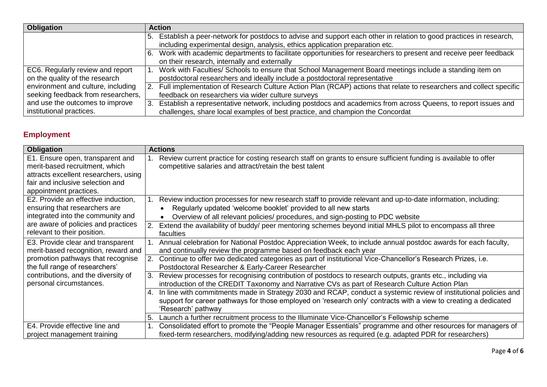| <b>Obligation</b>                  | <b>Action</b>                                                                                                         |
|------------------------------------|-----------------------------------------------------------------------------------------------------------------------|
|                                    | 5. Establish a peer-network for postdocs to advise and support each other in relation to good practices in research,  |
|                                    | including experimental design, analysis, ethics application preparation etc.                                          |
|                                    | 6. Work with academic departments to facilitate opportunities for researchers to present and receive peer feedback    |
|                                    | on their research, internally and externally                                                                          |
| EC6. Regularly review and report   | 1. Work with Faculties/ Schools to ensure that School Management Board meetings include a standing item on            |
| on the quality of the research     | postdoctoral researchers and ideally include a postdoctoral representative                                            |
| environment and culture, including | 2. Full implementation of Research Culture Action Plan (RCAP) actions that relate to researchers and collect specific |
| seeking feedback from researchers, | feedback on researchers via wider culture surveys                                                                     |
| and use the outcomes to improve    | 3. Establish a representative network, including postdocs and academics from across Queens, to report issues and      |
| institutional practices.           | challenges, share local examples of best practice, and champion the Concordat                                         |

# **Employment**

| <b>Obligation</b>                                                                                                                                                                                                 | <b>Actions</b>                                                                                                                                                                                                                                                   |
|-------------------------------------------------------------------------------------------------------------------------------------------------------------------------------------------------------------------|------------------------------------------------------------------------------------------------------------------------------------------------------------------------------------------------------------------------------------------------------------------|
| E1. Ensure open, transparent and<br>merit-based recruitment, which<br>attracts excellent researchers, using<br>fair and inclusive selection and<br>appointment practices.                                         | Review current practice for costing research staff on grants to ensure sufficient funding is available to offer<br>competitive salaries and attract/retain the best talent                                                                                       |
| E2. Provide an effective induction,<br>ensuring that researchers are<br>integrated into the community and<br>are aware of policies and practices<br>relevant to their position.                                   | Review induction processes for new research staff to provide relevant and up-to-date information, including:<br>Regularly updated 'welcome booklet' provided to all new starts<br>Overview of all relevant policies/ procedures, and sign-posting to PDC website |
|                                                                                                                                                                                                                   | Extend the availability of buddy/ peer mentoring schemes beyond initial MHLS pilot to encompass all three<br>2.<br>faculties                                                                                                                                     |
| E3. Provide clear and transparent<br>merit-based recognition, reward and<br>promotion pathways that recognise<br>the full range of researchers'<br>contributions, and the diversity of<br>personal circumstances. | Annual celebration for National Postdoc Appreciation Week, to include annual postdoc awards for each faculty,<br>and continually review the programme based on feedback each year                                                                                |
|                                                                                                                                                                                                                   | 2. Continue to offer two dedicated categories as part of institutional Vice-Chancellor's Research Prizes, i.e.<br>Postdoctoral Researcher & Early-Career Researcher                                                                                              |
|                                                                                                                                                                                                                   | 3.<br>Review processes for recognising contribution of postdocs to research outputs, grants etc., including via<br>introduction of the CREDIT Taxonomy and Narrative CVs as part of Research Culture Action Plan                                                 |
|                                                                                                                                                                                                                   | 4. In line with commitments made in Strategy 2030 and RCAP, conduct a systemic review of institutional policies and<br>support for career pathways for those employed on 'research only' contracts with a view to creating a dedicated<br>'Research' pathway     |
|                                                                                                                                                                                                                   | Launch a further recruitment process to the Illuminate Vice-Chancellor's Fellowship scheme<br>5.                                                                                                                                                                 |
| E4. Provide effective line and<br>project management training                                                                                                                                                     | Consolidated effort to promote the "People Manager Essentials" programme and other resources for managers of<br>fixed-term researchers, modifying/adding new resources as required (e.g. adapted PDR for researchers)                                            |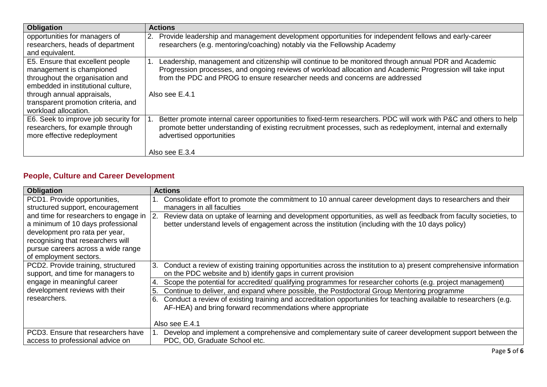| <b>Obligation</b>                                                                                                                     | <b>Actions</b>                                                                                                                                                                                                                                                                                    |
|---------------------------------------------------------------------------------------------------------------------------------------|---------------------------------------------------------------------------------------------------------------------------------------------------------------------------------------------------------------------------------------------------------------------------------------------------|
| opportunities for managers of<br>researchers, heads of department                                                                     | Provide leadership and management development opportunities for independent fellows and early-career<br><sup>2.</sup><br>researchers (e.g. mentoring/coaching) notably via the Fellowship Academy                                                                                                 |
| and equivalent.                                                                                                                       |                                                                                                                                                                                                                                                                                                   |
| E5. Ensure that excellent people<br>management is championed<br>throughout the organisation and<br>embedded in institutional culture, | Leadership, management and citizenship will continue to be monitored through annual PDR and Academic<br>Progression processes, and ongoing reviews of workload allocation and Academic Progression will take input<br>from the PDC and PROG to ensure researcher needs and concerns are addressed |
| through annual appraisals,<br>transparent promotion criteria, and<br>workload allocation.                                             | Also see E.4.1                                                                                                                                                                                                                                                                                    |
| E6. Seek to improve job security for<br>researchers, for example through<br>more effective redeployment                               | Better promote internal career opportunities to fixed-term researchers. PDC will work with P&C and others to help<br>promote better understanding of existing recruitment processes, such as redeployment, internal and externally<br>advertised opportunities                                    |
|                                                                                                                                       | Also see E.3.4                                                                                                                                                                                                                                                                                    |

### **People, Culture and Career Development**

| <b>Obligation</b>                            | <b>Actions</b>                                                                                                          |
|----------------------------------------------|-------------------------------------------------------------------------------------------------------------------------|
| PCD1. Provide opportunities,                 | Consolidate effort to promote the commitment to 10 annual career development days to researchers and their              |
| structured support, encouragement            | managers in all faculties                                                                                               |
| and time for researchers to engage in $ 2$ . | Review data on uptake of learning and development opportunities, as well as feedback from faculty societies, to         |
| a minimum of 10 days professional            | better understand levels of engagement across the institution (including with the 10 days policy)                       |
| development pro rata per year,               |                                                                                                                         |
| recognising that researchers will            |                                                                                                                         |
| pursue careers across a wide range           |                                                                                                                         |
| of employment sectors.                       |                                                                                                                         |
| PCD2. Provide training, structured           | 3. Conduct a review of existing training opportunities across the institution to a) present comprehensive information   |
| support, and time for managers to            | on the PDC website and b) identify gaps in current provision                                                            |
| engage in meaningful career                  | Scope the potential for accredited/ qualifying programmes for researcher cohorts (e.g. project management)              |
| development reviews with their               | Continue to deliver, and expand where possible, the Postdoctoral Group Mentoring programme<br>5.                        |
| researchers.                                 | Conduct a review of existing training and accreditation opportunities for teaching available to researchers (e.g.<br>6. |
|                                              | AF-HEA) and bring forward recommendations where appropriate                                                             |
|                                              |                                                                                                                         |
|                                              | Also see E.4.1                                                                                                          |
| PCD3. Ensure that researchers have           | Develop and implement a comprehensive and complementary suite of career development support between the                 |
| access to professional advice on             | PDC, OD, Graduate School etc.                                                                                           |